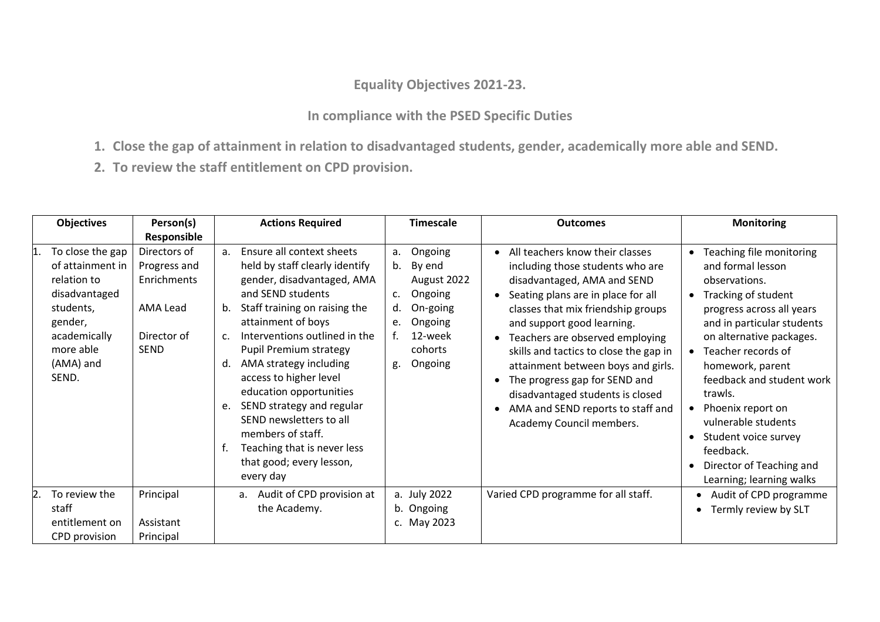## **Equality Objectives 2021-23.**

## **In compliance with the PSED Specific Duties**

- **1. Close the gap of attainment in relation to disadvantaged students, gender, academically more able and SEND.**
- **2. To review the staff entitlement on CPD provision.**

| <b>Objectives</b>                                                                                                                               | Person(s)                                                                                     | <b>Actions Required</b>                                                                                                                                                                                                                                                                                                                                                                                                                                                                                                          | <b>Timescale</b>                                                                                                                                    | <b>Outcomes</b>                                                                                                                                                                                                                                                                                                                                                                                                                                                                    | <b>Monitoring</b>                                                                                                                                                                                                                                                                                                                                                                                                                       |
|-------------------------------------------------------------------------------------------------------------------------------------------------|-----------------------------------------------------------------------------------------------|----------------------------------------------------------------------------------------------------------------------------------------------------------------------------------------------------------------------------------------------------------------------------------------------------------------------------------------------------------------------------------------------------------------------------------------------------------------------------------------------------------------------------------|-----------------------------------------------------------------------------------------------------------------------------------------------------|------------------------------------------------------------------------------------------------------------------------------------------------------------------------------------------------------------------------------------------------------------------------------------------------------------------------------------------------------------------------------------------------------------------------------------------------------------------------------------|-----------------------------------------------------------------------------------------------------------------------------------------------------------------------------------------------------------------------------------------------------------------------------------------------------------------------------------------------------------------------------------------------------------------------------------------|
| To close the gap<br>of attainment in<br>relation to<br>disadvantaged<br>students,<br>gender,<br>academically<br>more able<br>(AMA) and<br>SEND. | Responsible<br>Directors of<br>Progress and<br>Enrichments<br>AMA Lead<br>Director of<br>SEND | Ensure all context sheets<br>a <sub>z</sub><br>held by staff clearly identify<br>gender, disadvantaged, AMA<br>and SEND students<br>Staff training on raising the<br>b.<br>attainment of boys<br>Interventions outlined in the<br>$\mathsf{C}$ .<br>Pupil Premium strategy<br>AMA strategy including<br>d.<br>access to higher level<br>education opportunities<br>SEND strategy and regular<br>e.<br>SEND newsletters to all<br>members of staff.<br>Teaching that is never less<br>f.<br>that good; every lesson,<br>every day | Ongoing<br>a.<br>By end<br>b.<br>August 2022<br>Ongoing<br>$\mathsf{C}$ .<br>On-going<br>d.<br>Ongoing<br>e.<br>12-week<br>cohorts<br>Ongoing<br>g. | All teachers know their classes<br>$\bullet$<br>including those students who are<br>disadvantaged, AMA and SEND<br>Seating plans are in place for all<br>classes that mix friendship groups<br>and support good learning.<br>Teachers are observed employing<br>skills and tactics to close the gap in<br>attainment between boys and girls.<br>The progress gap for SEND and<br>disadvantaged students is closed<br>AMA and SEND reports to staff and<br>Academy Council members. | Teaching file monitoring<br>$\bullet$<br>and formal lesson<br>observations.<br>• Tracking of student<br>progress across all years<br>and in particular students<br>on alternative packages.<br>• Teacher records of<br>homework, parent<br>feedback and student work<br>trawls.<br>• Phoenix report on<br>vulnerable students<br>Student voice survey<br>$\bullet$<br>feedback.<br>Director of Teaching and<br>Learning; learning walks |
| To review the<br>staff<br>entitlement on<br>CPD provision                                                                                       | Principal<br>Assistant<br>Principal                                                           | a. Audit of CPD provision at<br>the Academy.                                                                                                                                                                                                                                                                                                                                                                                                                                                                                     | a. July 2022<br>b. Ongoing<br>c. May 2023                                                                                                           | Varied CPD programme for all staff.                                                                                                                                                                                                                                                                                                                                                                                                                                                | Audit of CPD programme<br>Termly review by SLT                                                                                                                                                                                                                                                                                                                                                                                          |